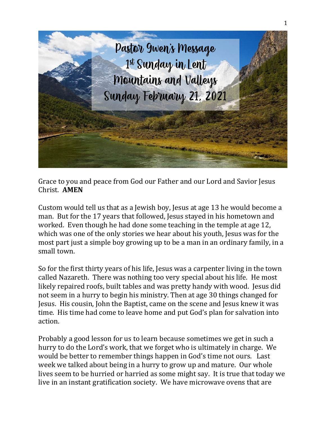

Grace to you and peace from God our Father and our Lord and Savior Jesus Christ. **AMEN**

Custom would tell us that as a Jewish boy, Jesus at age 13 he would become a man. But for the 17 years that followed, Jesus stayed in his hometown and worked. Even though he had done some teaching in the temple at age 12, which was one of the only stories we hear about his youth, Jesus was for the most part just a simple boy growing up to be a man in an ordinary family, in a small town.

So for the first thirty years of his life, Jesus was a carpenter living in the town called Nazareth. There was nothing too very special about his life. He most likely repaired roofs, built tables and was pretty handy with wood. Jesus did not seem in a hurry to begin his ministry. Then at age 30 things changed for Jesus. His cousin, John the Baptist, came on the scene and Jesus knew it was time. His time had come to leave home and put God's plan for salvation into action.

Probably a good lesson for us to learn because sometimes we get in such a hurry to do the Lord's work, that we forget who is ultimately in charge. We would be better to remember things happen in God's time not ours. Last week we talked about being in a hurry to grow up and mature. Our whole lives seem to be hurried or harried as some might say. It is true that today we live in an instant gratification society. We have microwave ovens that are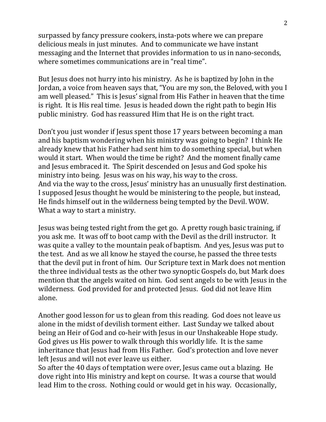surpassed by fancy pressure cookers, insta-pots where we can prepare delicious meals in just minutes. And to communicate we have instant messaging and the Internet that provides information to us in nano-seconds, where sometimes communications are in "real time".

But Jesus does not hurry into his ministry. As he is baptized by John in the Jordan, a voice from heaven says that, "You are my son, the Beloved, with you I am well pleased." This is Jesus' signal from His Father in heaven that the time is right. It is His real time. Jesus is headed down the right path to begin His public ministry. God has reassured Him that He is on the right tract.

Don't you just wonder if Jesus spent those 17 years between becoming a man and his baptism wondering when his ministry was going to begin? I think He already knew that his Father had sent him to do something special, but when would it start. When would the time be right? And the moment finally came and Jesus embraced it. The Spirit descended on Jesus and God spoke his ministry into being. Jesus was on his way, his way to the cross. And via the way to the cross, Jesus' ministry has an unusually first destination. I supposed Jesus thought he would be ministering to the people, but instead, He finds himself out in the wilderness being tempted by the Devil. WOW. What a way to start a ministry.

Jesus was being tested right from the get go. A pretty rough basic training, if you ask me. It was off to boot camp with the Devil as the drill instructor. It was quite a valley to the mountain peak of baptism. And yes, Jesus was put to the test. And as we all know he stayed the course, he passed the three tests that the devil put in front of him. Our Scripture text in Mark does not mention the three individual tests as the other two synoptic Gospels do, but Mark does mention that the angels waited on him. God sent angels to be with Jesus in the wilderness. God provided for and protected Jesus. God did not leave Him alone.

Another good lesson for us to glean from this reading. God does not leave us alone in the midst of devilish torment either. Last Sunday we talked about being an Heir of God and co-heir with Jesus in our Unshakeable Hope study. God gives us His power to walk through this worldly life. It is the same inheritance that Jesus had from His Father. God's protection and love never left Jesus and will not ever leave us either.

So after the 40 days of temptation were over, Jesus came out a blazing. He dove right into His ministry and kept on course. It was a course that would lead Him to the cross. Nothing could or would get in his way. Occasionally,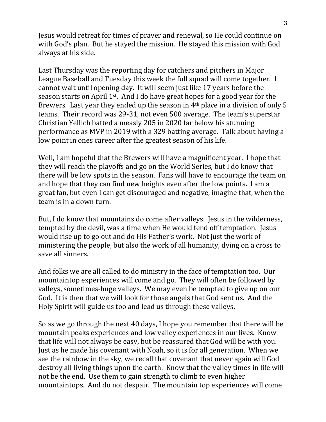Jesus would retreat for times of prayer and renewal, so He could continue on with God's plan. But he stayed the mission. He stayed this mission with God always at his side.

Last Thursday was the reporting day for catchers and pitchers in Major League Baseball and Tuesday this week the full squad will come together. I cannot wait until opening day. It will seem just like 17 years before the season starts on April 1st. And I do have great hopes for a good year for the Brewers. Last year they ended up the season in 4th place in a division of only 5 teams. Their record was 29-31, not even 500 average. The team's superstar Christian Yellich batted a measly 205 in 2020 far below his stunning performance as MVP in 2019 with a 329 batting average. Talk about having a low point in ones career after the greatest season of his life.

Well, I am hopeful that the Brewers will have a magnificent year. I hope that they will reach the playoffs and go on the World Series, but I do know that there will be low spots in the season. Fans will have to encourage the team on and hope that they can find new heights even after the low points. I am a great fan, but even I can get discouraged and negative, imagine that, when the team is in a down turn.

But, I do know that mountains do come after valleys. Jesus in the wilderness, tempted by the devil, was a time when He would fend off temptation. Jesus would rise up to go out and do His Father's work. Not just the work of ministering the people, but also the work of all humanity, dying on a cross to save all sinners.

And folks we are all called to do ministry in the face of temptation too. Our mountaintop experiences will come and go. They will often be followed by valleys, sometimes-huge valleys. We may even be tempted to give up on our God. It is then that we will look for those angels that God sent us. And the Holy Spirit will guide us too and lead us through these valleys.

So as we go through the next 40 days, I hope you remember that there will be mountain peaks experiences and low valley experiences in our lives. Know that life will not always be easy, but be reassured that God will be with you. Just as he made his covenant with Noah, so it is for all generation. When we see the rainbow in the sky, we recall that covenant that never again will God destroy all living things upon the earth. Know that the valley times in life will not be the end. Use them to gain strength to climb to even higher mountaintops. And do not despair. The mountain top experiences will come